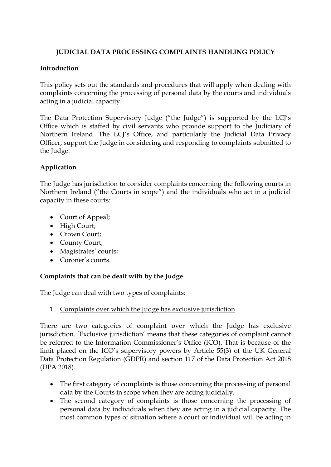# **JUDICIAL DATA PROCESSING COMPLAINTS HANDLING POLICY**

### **Introduction**

This policy sets out the standards and procedures that will apply when dealing with complaints concerning the processing of personal data by the courts and individuals acting in a judicial capacity.

The Data Protection Supervisory Judge ("the Judge") is supported by the LCJ's Office which is staffed by civil servants who provide support to the Judiciary of Northern Ireland. The LCJ's Office, and particularly the Judicial Data Privacy Officer, support the Judge in considering and responding to complaints submitted to the Judge.

## **Application**

The Judge has jurisdiction to consider complaints concerning the following courts in Northern Ireland ("the Courts in scope") and the individuals who act in a judicial capacity in these courts:

- Court of Appeal;
- High Court;
- Crown Court;
- County Court;
- Magistrates' courts;
- Coroner's courts.

## **Complaints that can be dealt with by the Judge**

The Judge can deal with two types of complaints:

1. Complaints over which the Judge has exclusive jurisdiction

There are two categories of complaint over which the Judge has exclusive jurisdiction. 'Exclusive jurisdiction' means that these categories of complaint cannot be referred to the Information Commissioner's Office (ICO). That is because of the limit placed on the ICO's supervisory powers by Article 55(3) of the UK General Data Protection Regulation (GDPR) and section 117 of the Data Protection Act 2018 (DPA 2018).

- The first category of complaints is those concerning the processing of personal data by the Courts in scope when they are acting judicially.
- The second category of complaints is those concerning the processing of personal data by individuals when they are acting in a judicial capacity. The most common types of situation where a court or individual will be acting in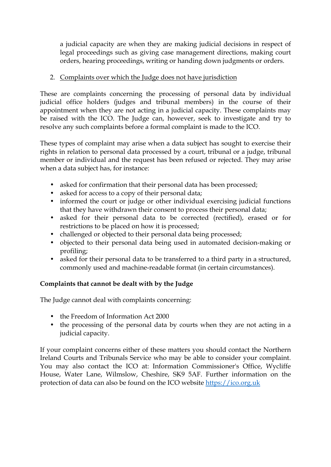a judicial capacity are when they are making judicial decisions in respect of legal proceedings such as giving case management directions, making court orders, hearing proceedings, writing or handing down judgments or orders.

### 2. Complaints over which the Judge does not have jurisdiction

These are complaints concerning the processing of personal data by individual judicial office holders (judges and tribunal members) in the course of their appointment when they are not acting in a judicial capacity. These complaints may be raised with the ICO. The Judge can, however, seek to investigate and try to resolve any such complaints before a formal complaint is made to the ICO.

These types of complaint may arise when a data subject has sought to exercise their rights in relation to personal data processed by a court, tribunal or a judge, tribunal member or individual and the request has been refused or rejected. They may arise when a data subject has, for instance:

- asked for confirmation that their personal data has been processed;
- asked for access to a copy of their personal data;
- informed the court or judge or other individual exercising judicial functions that they have withdrawn their consent to process their personal data;
- asked for their personal data to be corrected (rectified), erased or for restrictions to be placed on how it is processed;
- challenged or objected to their personal data being processed;
- objected to their personal data being used in automated decision-making or profiling;
- asked for their personal data to be transferred to a third party in a structured, commonly used and machine-readable format (in certain circumstances).

## **Complaints that cannot be dealt with by the Judge**

The Judge cannot deal with complaints concerning:

- the Freedom of Information Act 2000
- the processing of the personal data by courts when they are not acting in a judicial capacity.

If your complaint concerns either of these matters you should contact the Northern Ireland Courts and Tribunals Service who may be able to consider your complaint. You may also contact the ICO at: Information Commissioner's Office, Wycliffe House, Water Lane, Wilmslow, Cheshire, SK9 5AF. Further information on the protection of data can also be found on the ICO website [https://ico.org.uk](https://ico.org.uk/)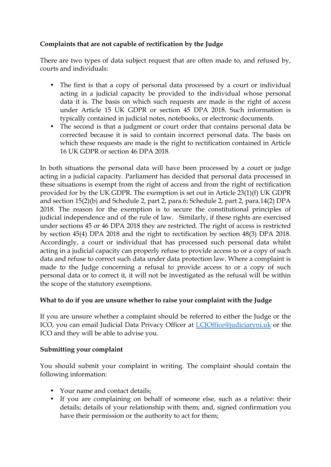## **Complaints that are not capable of rectification by the Judge**

There are two types of data subject request that are often made to, and refused by, courts and individuals:

- The first is that a copy of personal data processed by a court or individual acting in a judicial capacity be provided to the individual whose personal data it is. The basis on which such requests are made is the right of access under Article 15 UK GDPR or section 45 DPA 2018. Such information is typically contained in judicial notes, notebooks, or electronic documents.
- The second is that a judgment or court order that contains personal data be corrected because it is said to contain incorrect personal data. The basis on which these requests are made is the right to rectification contained in Article 16 UK GDPR or section 46 DPA 2018.

In both situations the personal data will have been processed by a court or judge acting in a judicial capacity. Parliament has decided that personal data processed in these situations is exempt from the right of access and from the right of rectification provided for by the UK GDPR. The exemption is set out in Article 23(1)(f) UK GDPR and section 15(2)(b) and Schedule 2, part 2, para.6; Schedule 2, part 2, para.14(2) DPA 2018. The reason for the exemption is to secure the constitutional principles of judicial independence and of the rule of law. Similarly, if these rights are exercised under sections 45 or 46 DPA 2018 they are restricted. The right of access is restricted by section 45(4) DPA 2018 and the right to rectification by section 48(3) DPA 2018. Accordingly, a court or individual that has processed such personal data whilst acting in a judicial capacity can properly refuse to provide access to or a copy of such data and refuse to correct such data under data protection law. Where a complaint is made to the Judge concerning a refusal to provide access to or a copy of such personal data or to correct it, it will not be investigated as the refusal will be within the scope of the statutory exemptions.

### **What to do if you are unsure whether to raise your complaint with the Judge**

If you are unsure whether a complaint should be referred to either the Judge or the ICO, you can email Judicial Data Privacy Officer at [LCJOffice@judiciaryni.uk](mailto:LCJOffice@judiciaryni.uk) or the ICO and they will be able to advise you.

### **Submitting your complaint**

You should submit your complaint in writing. The complaint should contain the following information:

- Your name and contact details;
- If you are complaining on behalf of someone else, such as a relative: their details; details of your relationship with them; and, signed confirmation you have their permission or the authority to act for them;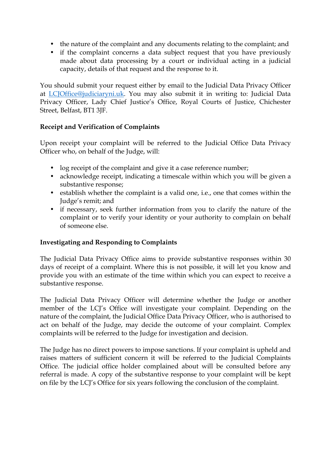- the nature of the complaint and any documents relating to the complaint; and
- if the complaint concerns a data subject request that you have previously made about data processing by a court or individual acting in a judicial capacity, details of that request and the response to it.

You should submit your request either by email to the Judicial Data Privacy Officer at [LCJOffice@judiciaryni.uk.](mailto:LCJOffice@judiciaryni.uk) You may also submit it in writing to: Judicial Data Privacy Officer, Lady Chief Justice's Office, Royal Courts of Justice, Chichester Street, Belfast, BT1 3JF.

### **Receipt and Verification of Complaints**

Upon receipt your complaint will be referred to the Judicial Office Data Privacy Officer who, on behalf of the Judge, will:

- log receipt of the complaint and give it a case reference number;
- acknowledge receipt, indicating a timescale within which you will be given a substantive response;
- establish whether the complaint is a valid one, i.e., one that comes within the Judge's remit; and
- if necessary, seek further information from you to clarify the nature of the complaint or to verify your identity or your authority to complain on behalf of someone else.

### **Investigating and Responding to Complaints**

The Judicial Data Privacy Office aims to provide substantive responses within 30 days of receipt of a complaint. Where this is not possible, it will let you know and provide you with an estimate of the time within which you can expect to receive a substantive response.

The Judicial Data Privacy Officer will determine whether the Judge or another member of the LCJ's Office will investigate your complaint. Depending on the nature of the complaint, the Judicial Office Data Privacy Officer, who is authorised to act on behalf of the Judge, may decide the outcome of your complaint. Complex complaints will be referred to the Judge for investigation and decision.

The Judge has no direct powers to impose sanctions. If your complaint is upheld and raises matters of sufficient concern it will be referred to the Judicial Complaints Office. The judicial office holder complained about will be consulted before any referral is made. A copy of the substantive response to your complaint will be kept on file by the LCJ's Office for six years following the conclusion of the complaint.